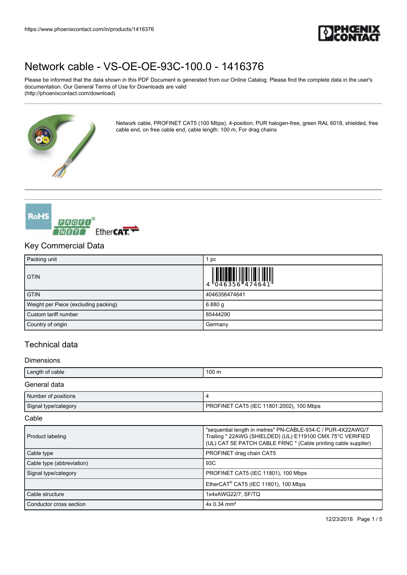

Please be informed that the data shown in this PDF Document is generated from our Online Catalog. Please find the complete data in the user's documentation. Our General Terms of Use for Downloads are valid (http://phoenixcontact.com/download)



Network cable, PROFINET CAT5 (100 Mbps), 4-position, PUR halogen-free, green RAL 6018, shielded, free cable end, on free cable end, cable length: 100 m, For drag chains



## Key Commercial Data

| Packing unit                         | pc            |
|--------------------------------------|---------------|
| <b>GTIN</b>                          |               |
| <b>GTIN</b>                          | 4046356474641 |
| Weight per Piece (excluding packing) | 6.880g        |
| Custom tariff number                 | 85444290      |
| Country of origin                    | Germany       |

## Technical data

#### **Dimensions**

| Length of cable        | 100 <sub>m</sub>                         |
|------------------------|------------------------------------------|
| General data           |                                          |
| Number of positions    |                                          |
| Signal type/category   | PROFINET CAT5 (IEC 11801:2002), 100 Mbps |
| $\sim$ $\cdot$ $\cdot$ |                                          |

#### Cable

| Product labeling          | "sequential length in metres" PN-CABLE-934-C / PUR-4X22AWG/7<br>Trailing * 22AWG (SHIELDED) (UL) E119100 CMX 75°C VERIFIED<br>(UL) CAT 5E PATCH CABLE FRNC * (Cable printing cable supplier) |
|---------------------------|----------------------------------------------------------------------------------------------------------------------------------------------------------------------------------------------|
| Cable type                | PROFINET drag chain CAT5                                                                                                                                                                     |
| Cable type (abbreviation) | 93C                                                                                                                                                                                          |
| Signal type/category      | PROFINET CAT5 (IEC 11801), 100 Mbps                                                                                                                                                          |
|                           | EtherCAT <sup>®</sup> CAT5 (IEC 11801), 100 Mbps                                                                                                                                             |
| Cable structure           | 1x4xAWG22/7; SF/TQ                                                                                                                                                                           |
| Conductor cross section   | $4x$ 0.34 mm <sup>2</sup>                                                                                                                                                                    |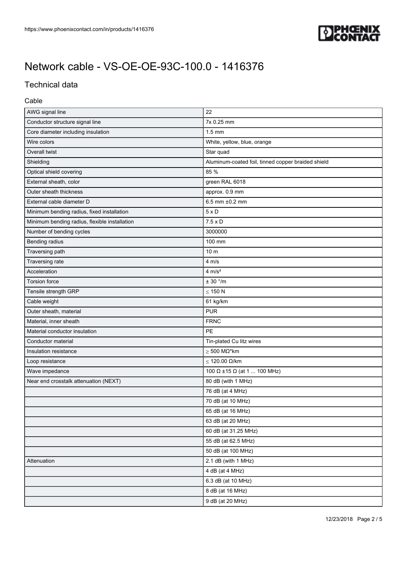

# Technical data

#### Cable

| AWG signal line                               | 22                                                 |
|-----------------------------------------------|----------------------------------------------------|
| Conductor structure signal line               | 7x 0.25 mm                                         |
| Core diameter including insulation            | $1.5 \text{ mm}$                                   |
| Wire colors                                   | White, yellow, blue, orange                        |
| Overall twist                                 | Star quad                                          |
| Shielding                                     | Aluminum-coated foil, tinned copper braided shield |
| Optical shield covering                       | 85 %                                               |
| External sheath, color                        | green RAL 6018                                     |
| Outer sheath thickness                        | approx. 0.9 mm                                     |
| External cable diameter D                     | 6.5 mm ±0.2 mm                                     |
| Minimum bending radius, fixed installation    | $5 \times D$                                       |
| Minimum bending radius, flexible installation | $7.5 \times D$                                     |
| Number of bending cycles                      | 3000000                                            |
| Bending radius                                | 100 mm                                             |
| Traversing path                               | 10 <sub>m</sub>                                    |
| Traversing rate                               | 4 m/s                                              |
| Acceleration                                  | $4 \text{ m/s}^2$                                  |
| Torsion force                                 | $\pm$ 30 °/m                                       |
| Tensile strength GRP                          | $\leq$ 150 N                                       |
| Cable weight                                  | 61 kg/km                                           |
| Outer sheath, material                        | <b>PUR</b>                                         |
| Material, inner sheath                        | <b>FRNC</b>                                        |
| Material conductor insulation                 | PE                                                 |
| Conductor material                            | Tin-plated Cu litz wires                           |
| Insulation resistance                         | $\geq 500$ M $\Omega^*$ km                         |
| Loop resistance                               | $\leq$ 120.00 $\Omega$ /km                         |
| Wave impedance                                | 100 Ω ±15 Ω (at 1  100 MHz)                        |
| Near end crosstalk attenuation (NEXT)         | 80 dB (with 1 MHz)                                 |
|                                               | 76 dB (at 4 MHz)                                   |
|                                               | 70 dB (at 10 MHz)                                  |
|                                               | 65 dB (at 16 MHz)                                  |
|                                               | 63 dB (at 20 MHz)                                  |
|                                               | 60 dB (at 31.25 MHz)                               |
|                                               | 55 dB (at 62.5 MHz)                                |
|                                               | 50 dB (at 100 MHz)                                 |
| Attenuation                                   | 2.1 dB (with 1 MHz)                                |
|                                               | 4 dB (at 4 MHz)                                    |
|                                               | 6.3 dB (at 10 MHz)                                 |
|                                               | 8 dB (at 16 MHz)                                   |
|                                               | 9 dB (at 20 MHz)                                   |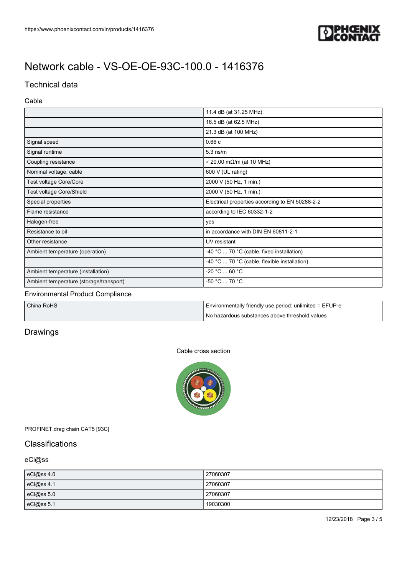

## Technical data

#### Cable

|                                         | 11.4 dB (at 31.25 MHz)                          |
|-----------------------------------------|-------------------------------------------------|
|                                         | 16.5 dB (at 62.5 MHz)                           |
|                                         | 21.3 dB (at 100 MHz)                            |
| Signal speed                            | 0.66c                                           |
| Signal runtime                          | $5.3$ ns/m                                      |
| Coupling resistance                     | $\leq$ 20.00 m $\Omega$ /m (at 10 MHz)          |
| Nominal voltage, cable                  | 600 V (UL rating)                               |
| Test voltage Core/Core                  | 2000 V (50 Hz, 1 min.)                          |
| Test voltage Core/Shield                | 2000 V (50 Hz, 1 min.)                          |
| Special properties                      | Electrical properties according to EN 50288-2-2 |
| Flame resistance                        | according to IEC 60332-1-2                      |
| Halogen-free                            | yes                                             |
| Resistance to oil                       | in accordance with DIN EN 60811-2-1             |
| Other resistance                        | UV resistant                                    |
| Ambient temperature (operation)         | -40 °C  70 °C (cable, fixed installation)       |
|                                         | -40 °C  70 °C (cable, flexible installation)    |
| Ambient temperature (installation)      | -20 °C  60 °C                                   |
| Ambient temperature (storage/transport) | -50 °C  70 °C                                   |

#### Environmental Product Compliance

| China RoHS | Environmentally friendly use period: unlimited = EFUP-e |
|------------|---------------------------------------------------------|
|            | 'No hazardous substances above threshold values         |

## **Drawings**

#### Cable cross section



### PROFINET drag chain CAT5 [93C]

## **Classifications**

### eCl@ss

| eCl@ss 4.0 | 27060307 |
|------------|----------|
| eCl@ss 4.1 | 27060307 |
| eCl@ss 5.0 | 27060307 |
| eCl@ss 5.1 | 19030300 |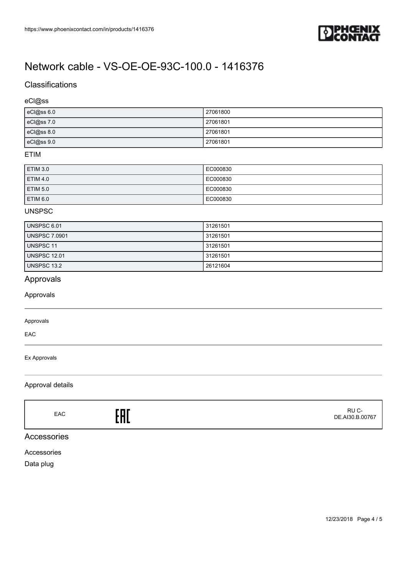

# **Classifications**

### eCl@ss

| eCl@ss 6.0 | 27061800 |
|------------|----------|
| eCl@ss 7.0 | 27061801 |
| eCl@ss 8.0 | 27061801 |
| eCl@ss 9.0 | 27061801 |

#### ETIM

| ETIM 3.0 | EC000830 |
|----------|----------|
| ETIM 4.0 | EC000830 |
| ETIM 5.0 | EC000830 |
| ETIM 6.0 | EC000830 |

#### UNSPSC

| UNSPSC 6.01         | 31261501 |
|---------------------|----------|
| UNSPSC 7.0901       | 31261501 |
| UNSPSC 11           | 31261501 |
| <b>UNSPSC 12.01</b> | 31261501 |
| UNSPSC 13.2         | 26121604 |

## Approvals

Approvals

#### Approvals

EAC

#### Ex Approvals

#### Approval details

EAC<sub>EAC</sub>ERE

 RU C-DE.AI30.B.00767

### Accessories

Accessories

Data plug